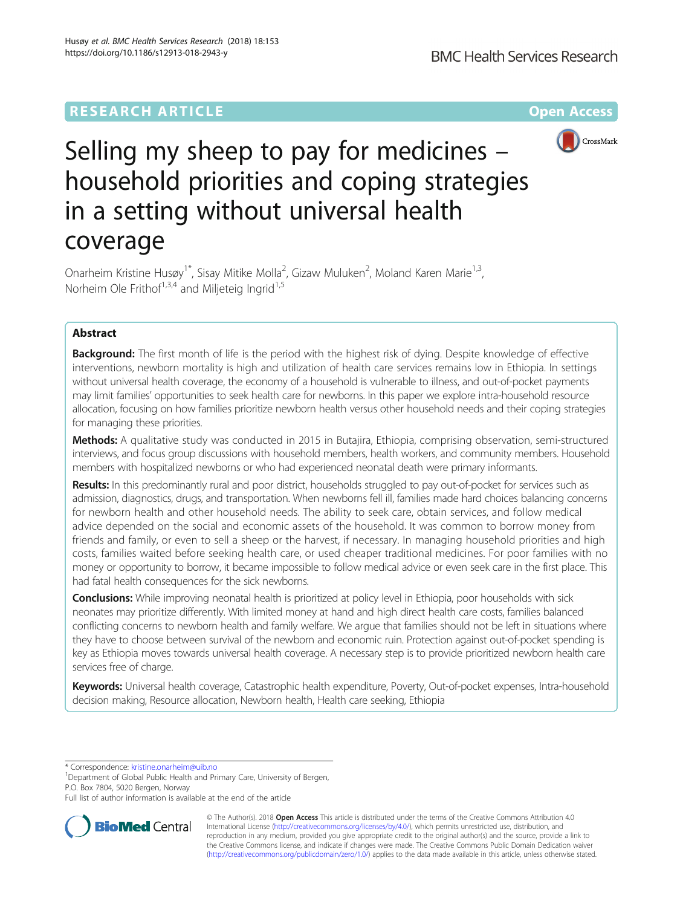# **RESEARCH ARTICLE Example 2014 12:30 The Contract of Contract ACCESS**



# Selling my sheep to pay for medicines – household priorities and coping strategies in a setting without universal health coverage

Onarheim Kristine Husøy<sup>1\*</sup>, Sisay Mitike Molla<sup>2</sup>, Gizaw Muluken<sup>2</sup>, Moland Karen Marie<sup>1,3</sup>, Norheim Ole Frithof<sup>1,3,4</sup> and Milieteig Ingrid<sup>1,5</sup>

# Abstract

**Background:** The first month of life is the period with the highest risk of dying. Despite knowledge of effective interventions, newborn mortality is high and utilization of health care services remains low in Ethiopia. In settings without universal health coverage, the economy of a household is vulnerable to illness, and out-of-pocket payments may limit families' opportunities to seek health care for newborns. In this paper we explore intra-household resource allocation, focusing on how families prioritize newborn health versus other household needs and their coping strategies for managing these priorities.

Methods: A qualitative study was conducted in 2015 in Butajira, Ethiopia, comprising observation, semi-structured interviews, and focus group discussions with household members, health workers, and community members. Household members with hospitalized newborns or who had experienced neonatal death were primary informants.

Results: In this predominantly rural and poor district, households struggled to pay out-of-pocket for services such as admission, diagnostics, drugs, and transportation. When newborns fell ill, families made hard choices balancing concerns for newborn health and other household needs. The ability to seek care, obtain services, and follow medical advice depended on the social and economic assets of the household. It was common to borrow money from friends and family, or even to sell a sheep or the harvest, if necessary. In managing household priorities and high costs, families waited before seeking health care, or used cheaper traditional medicines. For poor families with no money or opportunity to borrow, it became impossible to follow medical advice or even seek care in the first place. This had fatal health consequences for the sick newborns.

Conclusions: While improving neonatal health is prioritized at policy level in Ethiopia, poor households with sick neonates may prioritize differently. With limited money at hand and high direct health care costs, families balanced conflicting concerns to newborn health and family welfare. We argue that families should not be left in situations where they have to choose between survival of the newborn and economic ruin. Protection against out-of-pocket spending is key as Ethiopia moves towards universal health coverage. A necessary step is to provide prioritized newborn health care services free of charge.

Keywords: Universal health coverage, Catastrophic health expenditure, Poverty, Out-of-pocket expenses, Intra-household decision making, Resource allocation, Newborn health, Health care seeking, Ethiopia

\* Correspondence: [kristine.onarheim@uib.no](mailto:kristine.onarheim@uib.no) <sup>1</sup>

<sup>1</sup>Department of Global Public Health and Primary Care, University of Bergen, P.O. Box 7804, 5020 Bergen, Norway

Full list of author information is available at the end of the article



© The Author(s). 2018 Open Access This article is distributed under the terms of the Creative Commons Attribution 4.0 International License [\(http://creativecommons.org/licenses/by/4.0/](http://creativecommons.org/licenses/by/4.0/)), which permits unrestricted use, distribution, and reproduction in any medium, provided you give appropriate credit to the original author(s) and the source, provide a link to the Creative Commons license, and indicate if changes were made. The Creative Commons Public Domain Dedication waiver [\(http://creativecommons.org/publicdomain/zero/1.0/](http://creativecommons.org/publicdomain/zero/1.0/)) applies to the data made available in this article, unless otherwise stated.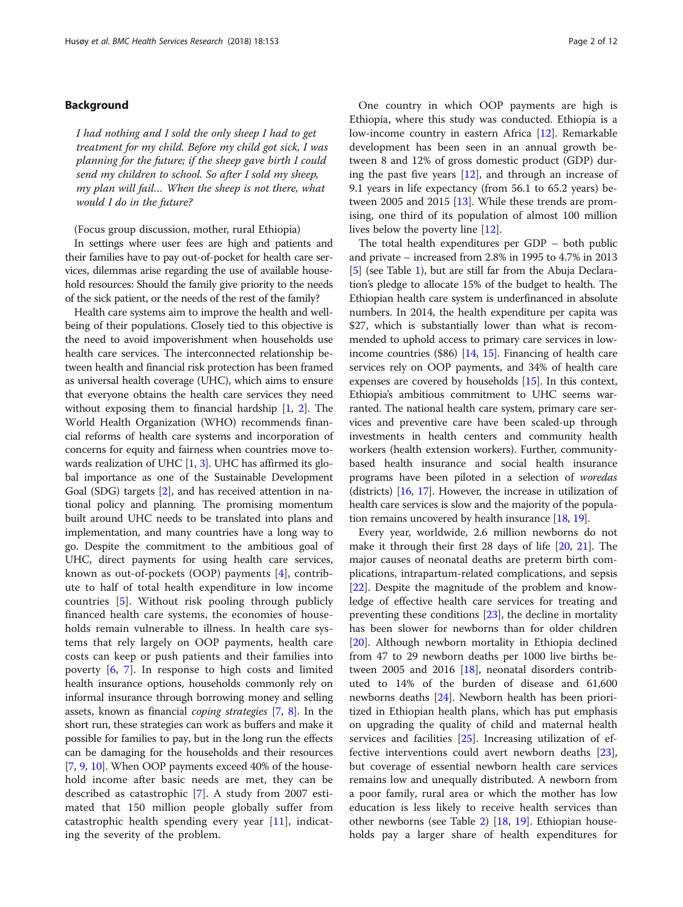### **Background**

I had nothing and I sold the only sheep I had to get treatment for my child. Before my child got sick, I was planning for the future; if the sheep gave birth I could send my children to school. So after I sold my sheep, my plan will fail… When the sheep is not there, what would I do in the future?

(Focus group discussion, mother, rural Ethiopia)

In settings where user fees are high and patients and their families have to pay out-of-pocket for health care services, dilemmas arise regarding the use of available household resources: Should the family give priority to the needs of the sick patient, or the needs of the rest of the family?

Health care systems aim to improve the health and wellbeing of their populations. Closely tied to this objective is the need to avoid impoverishment when households use health care services. The interconnected relationship between health and financial risk protection has been framed as universal health coverage (UHC), which aims to ensure that everyone obtains the health care services they need without exposing them to financial hardship  $[1, 2]$  $[1, 2]$  $[1, 2]$  $[1, 2]$ . The World Health Organization (WHO) recommends financial reforms of health care systems and incorporation of concerns for equity and fairness when countries move towards realization of UHC  $[1, 3]$  $[1, 3]$  $[1, 3]$  $[1, 3]$ . UHC has affirmed its global importance as one of the Sustainable Development Goal (SDG) targets [\[2](#page-10-0)], and has received attention in national policy and planning. The promising momentum built around UHC needs to be translated into plans and implementation, and many countries have a long way to go. Despite the commitment to the ambitious goal of UHC, direct payments for using health care services, known as out-of-pockets (OOP) payments [[4\]](#page-10-0), contribute to half of total health expenditure in low income countries [\[5](#page-10-0)]. Without risk pooling through publicly financed health care systems, the economies of households remain vulnerable to illness. In health care systems that rely largely on OOP payments, health care costs can keep or push patients and their families into poverty [[6,](#page-10-0) [7](#page-10-0)]. In response to high costs and limited health insurance options, households commonly rely on informal insurance through borrowing money and selling assets, known as financial coping strategies [\[7](#page-10-0), [8](#page-10-0)]. In the short run, these strategies can work as buffers and make it possible for families to pay, but in the long run the effects can be damaging for the households and their resources [[7,](#page-10-0) [9](#page-10-0), [10\]](#page-10-0). When OOP payments exceed 40% of the household income after basic needs are met, they can be described as catastrophic [\[7](#page-10-0)]. A study from 2007 estimated that 150 million people globally suffer from catastrophic health spending every year [\[11](#page-10-0)], indicating the severity of the problem.

One country in which OOP payments are high is Ethiopia, where this study was conducted. Ethiopia is a low-income country in eastern Africa [\[12\]](#page-10-0). Remarkable development has been seen in an annual growth between 8 and 12% of gross domestic product (GDP) during the past five years  $[12]$  $[12]$ , and through an increase of 9.1 years in life expectancy (from 56.1 to 65.2 years) between 2005 and 2015 [[13](#page-10-0)]. While these trends are promising, one third of its population of almost 100 million lives below the poverty line [[12\]](#page-10-0).

The total health expenditures per GDP – both public and private – increased from 2.8% in 1995 to 4.7% in 2013 [[5\]](#page-10-0) (see Table [1\)](#page-2-0), but are still far from the Abuja Declaration's pledge to allocate 15% of the budget to health. The Ethiopian health care system is underfinanced in absolute numbers. In 2014, the health expenditure per capita was \$27, which is substantially lower than what is recommended to uphold access to primary care services in lowincome countries (\$86) [[14](#page-10-0), [15\]](#page-10-0). Financing of health care services rely on OOP payments, and 34% of health care expenses are covered by households [\[15\]](#page-10-0). In this context, Ethiopia's ambitious commitment to UHC seems warranted. The national health care system, primary care services and preventive care have been scaled-up through investments in health centers and community health workers (health extension workers). Further, communitybased health insurance and social health insurance programs have been piloted in a selection of woredas (districts)  $[16, 17]$  $[16, 17]$  $[16, 17]$ . However, the increase in utilization of health care services is slow and the majority of the population remains uncovered by health insurance [[18](#page-10-0), [19](#page-10-0)].

Every year, worldwide, 2.6 million newborns do not make it through their first 28 days of life [\[20](#page-10-0), [21](#page-10-0)]. The major causes of neonatal deaths are preterm birth complications, intrapartum-related complications, and sepsis [[22\]](#page-10-0). Despite the magnitude of the problem and knowledge of effective health care services for treating and preventing these conditions [\[23](#page-10-0)], the decline in mortality has been slower for newborns than for older children [[20\]](#page-10-0). Although newborn mortality in Ethiopia declined from 47 to 29 newborn deaths per 1000 live births between 2005 and 2016 [[18](#page-10-0)], neonatal disorders contributed to 14% of the burden of disease and 61,600 newborns deaths [[24](#page-11-0)]. Newborn health has been prioritized in Ethiopian health plans, which has put emphasis on upgrading the quality of child and maternal health services and facilities [\[25](#page-11-0)]. Increasing utilization of effective interventions could avert newborn deaths [\[23](#page-10-0)], but coverage of essential newborn health care services remains low and unequally distributed. A newborn from a poor family, rural area or which the mother has low education is less likely to receive health services than other newborns (see Table [2](#page-2-0)) [\[18](#page-10-0), [19](#page-10-0)]. Ethiopian households pay a larger share of health expenditures for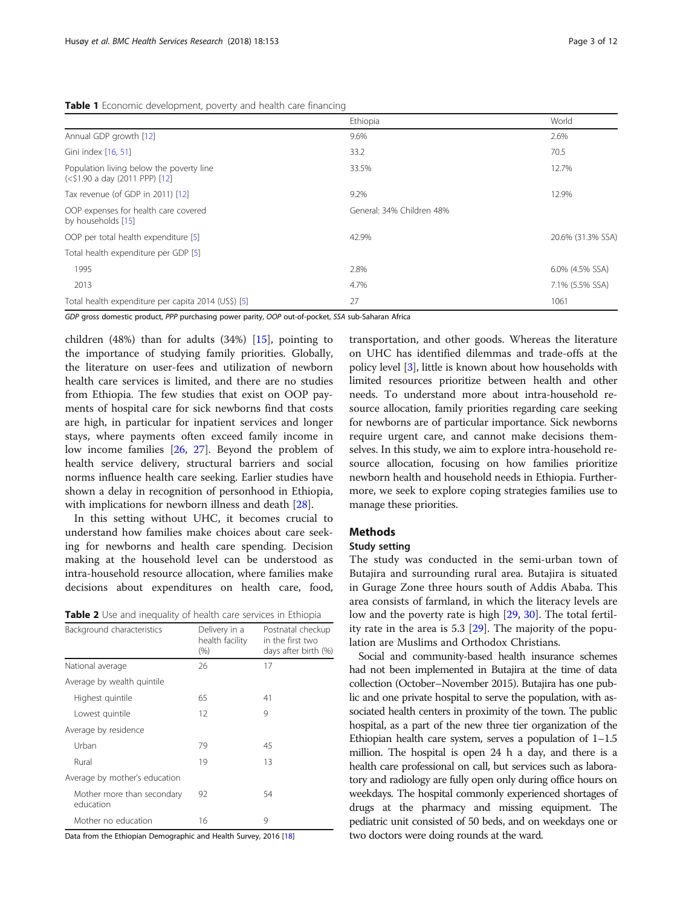|                                                                            | Ethiopia                  | World             |
|----------------------------------------------------------------------------|---------------------------|-------------------|
| Annual GDP growth [12]                                                     | 9.6%                      | 2.6%              |
| Gini index [16, 51]                                                        | 33.2                      | 70.5              |
| Population living below the poverty line<br>(<\$1.90 a day (2011 PPP) [12] | 33.5%                     | 12.7%             |
| Tax revenue (of GDP in 2011) [12]                                          | 9.2%                      | 12.9%             |
| OOP expenses for health care covered<br>by households [15]                 | General: 34% Children 48% |                   |
| OOP per total health expenditure [5]                                       | 42.9%                     | 20.6% (31.3% SSA) |
| Total health expenditure per GDP [5]                                       |                           |                   |
| 1995                                                                       | 2.8%                      | 6.0% (4.5% SSA)   |
| 2013                                                                       | 4.7%                      | 7.1% (5.5% SSA)   |
| Total health expenditure per capita 2014 (US\$) [5]                        | 27                        | 1061              |

<span id="page-2-0"></span>Table 1 Economic development, poverty and health care financing

GDP gross domestic product, PPP purchasing power parity, OOP out-of-pocket, SSA sub-Saharan Africa

children (48%) than for adults (34%) [\[15](#page-10-0)], pointing to the importance of studying family priorities. Globally, the literature on user-fees and utilization of newborn health care services is limited, and there are no studies from Ethiopia. The few studies that exist on OOP payments of hospital care for sick newborns find that costs are high, in particular for inpatient services and longer stays, where payments often exceed family income in low income families [[26](#page-11-0), [27\]](#page-11-0). Beyond the problem of health service delivery, structural barriers and social norms influence health care seeking. Earlier studies have shown a delay in recognition of personhood in Ethiopia, with implications for newborn illness and death [\[28](#page-11-0)].

In this setting without UHC, it becomes crucial to understand how families make choices about care seeking for newborns and health care spending. Decision making at the household level can be understood as intra-household resource allocation, where families make decisions about expenditures on health care, food,

|  | Table 2 Use and inequality of health care services in Ethiopia |
|--|----------------------------------------------------------------|
|--|----------------------------------------------------------------|

| Background characteristics              | Delivery in a<br>health facility<br>(% ) | Postnatal checkup<br>in the first two<br>days after birth (%) |
|-----------------------------------------|------------------------------------------|---------------------------------------------------------------|
| National average                        | 26                                       | 17                                                            |
| Average by wealth quintile              |                                          |                                                               |
| Highest quintile                        | 65                                       | 41                                                            |
| Lowest quintile                         | 12                                       | 9                                                             |
| Average by residence                    |                                          |                                                               |
| Urban                                   | 79                                       | 45                                                            |
| Rural                                   | 19                                       | 13                                                            |
| Average by mother's education           |                                          |                                                               |
| Mother more than secondary<br>education | 92                                       | 54                                                            |
| Mother no education                     | 16                                       | 9                                                             |

Data from the Ethiopian Demographic and Health Survey, 2016 [[18](#page-10-0)]

transportation, and other goods. Whereas the literature on UHC has identified dilemmas and trade-offs at the policy level [\[3](#page-10-0)], little is known about how households with limited resources prioritize between health and other needs. To understand more about intra-household resource allocation, family priorities regarding care seeking for newborns are of particular importance. Sick newborns require urgent care, and cannot make decisions themselves. In this study, we aim to explore intra-household resource allocation, focusing on how families prioritize newborn health and household needs in Ethiopia. Furthermore, we seek to explore coping strategies families use to manage these priorities.

# Methods

## Study setting

The study was conducted in the semi-urban town of Butajira and surrounding rural area. Butajira is situated in Gurage Zone three hours south of Addis Ababa. This area consists of farmland, in which the literacy levels are low and the poverty rate is high [[29,](#page-11-0) [30\]](#page-11-0). The total fertility rate in the area is 5.3 [\[29\]](#page-11-0). The majority of the population are Muslims and Orthodox Christians.

Social and community-based health insurance schemes had not been implemented in Butajira at the time of data collection (October–November 2015). Butajira has one public and one private hospital to serve the population, with associated health centers in proximity of the town. The public hospital, as a part of the new three tier organization of the Ethiopian health care system, serves a population of 1–1.5 million. The hospital is open 24 h a day, and there is a health care professional on call, but services such as laboratory and radiology are fully open only during office hours on weekdays. The hospital commonly experienced shortages of drugs at the pharmacy and missing equipment. The pediatric unit consisted of 50 beds, and on weekdays one or two doctors were doing rounds at the ward.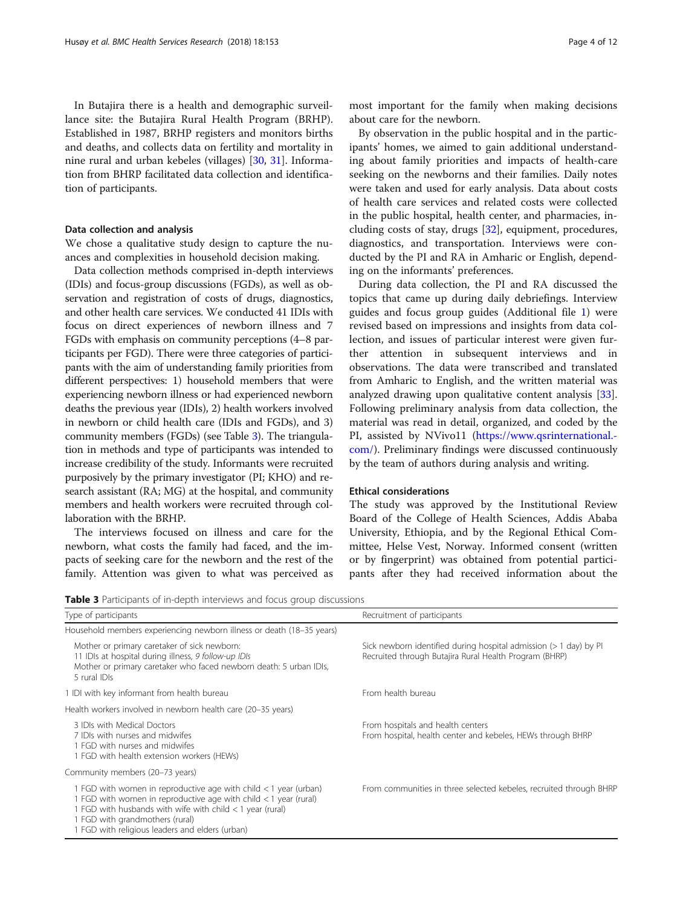In Butajira there is a health and demographic surveillance site: the Butajira Rural Health Program (BRHP). Established in 1987, BRHP registers and monitors births and deaths, and collects data on fertility and mortality in nine rural and urban kebeles (villages) [[30](#page-11-0), [31\]](#page-11-0). Information from BHRP facilitated data collection and identification of participants.

#### Data collection and analysis

We chose a qualitative study design to capture the nuances and complexities in household decision making.

Data collection methods comprised in-depth interviews (IDIs) and focus-group discussions (FGDs), as well as observation and registration of costs of drugs, diagnostics, and other health care services. We conducted 41 IDIs with focus on direct experiences of newborn illness and 7 FGDs with emphasis on community perceptions (4–8 participants per FGD). There were three categories of participants with the aim of understanding family priorities from different perspectives: 1) household members that were experiencing newborn illness or had experienced newborn deaths the previous year (IDIs), 2) health workers involved in newborn or child health care (IDIs and FGDs), and 3) community members (FGDs) (see Table 3). The triangulation in methods and type of participants was intended to increase credibility of the study. Informants were recruited purposively by the primary investigator (PI; KHO) and research assistant (RA; MG) at the hospital, and community members and health workers were recruited through collaboration with the BRHP.

The interviews focused on illness and care for the newborn, what costs the family had faced, and the impacts of seeking care for the newborn and the rest of the family. Attention was given to what was perceived as

most important for the family when making decisions about care for the newborn.

By observation in the public hospital and in the participants' homes, we aimed to gain additional understanding about family priorities and impacts of health-care seeking on the newborns and their families. Daily notes were taken and used for early analysis. Data about costs of health care services and related costs were collected in the public hospital, health center, and pharmacies, including costs of stay, drugs [\[32](#page-11-0)], equipment, procedures, diagnostics, and transportation. Interviews were conducted by the PI and RA in Amharic or English, depending on the informants' preferences.

During data collection, the PI and RA discussed the topics that came up during daily debriefings. Interview guides and focus group guides (Additional file [1\)](#page-10-0) were revised based on impressions and insights from data collection, and issues of particular interest were given further attention in subsequent interviews and in observations. The data were transcribed and translated from Amharic to English, and the written material was analyzed drawing upon qualitative content analysis [\[33](#page-11-0)]. Following preliminary analysis from data collection, the material was read in detail, organized, and coded by the PI, assisted by NVivo11 [\(https://www.qsrinternational.](https://www.qsrinternational.com/) [com/\)](https://www.qsrinternational.com/). Preliminary findings were discussed continuously by the team of authors during analysis and writing.

### Ethical considerations

The study was approved by the Institutional Review Board of the College of Health Sciences, Addis Ababa University, Ethiopia, and by the Regional Ethical Committee, Helse Vest, Norway. Informed consent (written or by fingerprint) was obtained from potential participants after they had received information about the

Table 3 Participants of in-depth interviews and focus group discussions

| <b>Lable J</b> Farticipants OF IIT GEDLET INTERVIEWS AND TOCUS GLOUP GISCUSSIONS                                                                                                                                                                                                              |                                                                                                                             |  |
|-----------------------------------------------------------------------------------------------------------------------------------------------------------------------------------------------------------------------------------------------------------------------------------------------|-----------------------------------------------------------------------------------------------------------------------------|--|
| Type of participants                                                                                                                                                                                                                                                                          | Recruitment of participants                                                                                                 |  |
| Household members experiencing newborn illness or death (18-35 years)                                                                                                                                                                                                                         |                                                                                                                             |  |
| Mother or primary caretaker of sick newborn:<br>11 IDIs at hospital during illness, 9 follow-up IDIs<br>Mother or primary caretaker who faced newborn death: 5 urban IDIs,<br>5 rural IDIs                                                                                                    | Sick newborn identified during hospital admission (> 1 day) by PI<br>Recruited through Butajira Rural Health Program (BHRP) |  |
| 1 IDI with key informant from health bureau                                                                                                                                                                                                                                                   | From health bureau                                                                                                          |  |
| Health workers involved in newborn health care (20-35 years)                                                                                                                                                                                                                                  |                                                                                                                             |  |
| 3 IDIs with Medical Doctors<br>7 IDIs with nurses and midwifes<br>1 FGD with nurses and midwifes<br>1 FGD with health extension workers (HEWs)                                                                                                                                                | From hospitals and health centers<br>From hospital, health center and kebeles, HEWs through BHRP                            |  |
| Community members (20-73 years)                                                                                                                                                                                                                                                               |                                                                                                                             |  |
| 1 FGD with women in reproductive age with child $<$ 1 year (urban)<br>1 FGD with women in reproductive age with child $<$ 1 year (rural)<br>1 FGD with husbands with wife with child $<$ 1 year (rural)<br>1 FGD with grandmothers (rural)<br>1 FGD with religious leaders and elders (urban) | From communities in three selected kebeles, recruited through BHRF                                                          |  |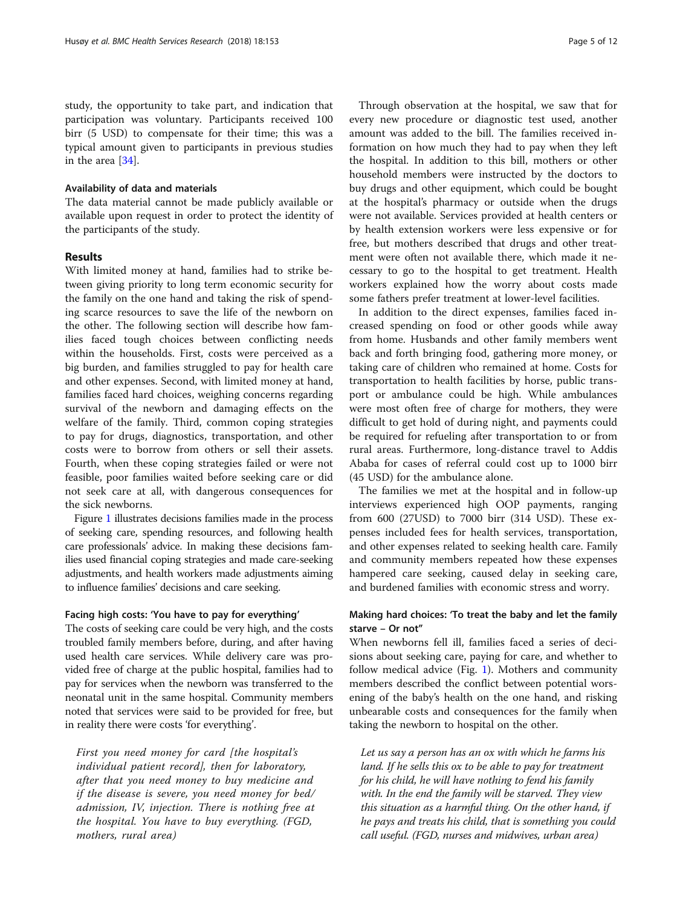study, the opportunity to take part, and indication that participation was voluntary. Participants received 100 birr (5 USD) to compensate for their time; this was a typical amount given to participants in previous studies in the area [\[34](#page-11-0)].

## Availability of data and materials

The data material cannot be made publicly available or available upon request in order to protect the identity of the participants of the study.

## Results

With limited money at hand, families had to strike between giving priority to long term economic security for the family on the one hand and taking the risk of spending scarce resources to save the life of the newborn on the other. The following section will describe how families faced tough choices between conflicting needs within the households. First, costs were perceived as a big burden, and families struggled to pay for health care and other expenses. Second, with limited money at hand, families faced hard choices, weighing concerns regarding survival of the newborn and damaging effects on the welfare of the family. Third, common coping strategies to pay for drugs, diagnostics, transportation, and other costs were to borrow from others or sell their assets. Fourth, when these coping strategies failed or were not feasible, poor families waited before seeking care or did not seek care at all, with dangerous consequences for the sick newborns.

Figure [1](#page-5-0) illustrates decisions families made in the process of seeking care, spending resources, and following health care professionals' advice. In making these decisions families used financial coping strategies and made care-seeking adjustments, and health workers made adjustments aiming to influence families' decisions and care seeking.

#### Facing high costs: 'You have to pay for everything'

The costs of seeking care could be very high, and the costs troubled family members before, during, and after having used health care services. While delivery care was provided free of charge at the public hospital, families had to pay for services when the newborn was transferred to the neonatal unit in the same hospital. Community members noted that services were said to be provided for free, but in reality there were costs 'for everything'.

First you need money for card [the hospital's individual patient record], then for laboratory, after that you need money to buy medicine and if the disease is severe, you need money for bed/ admission, IV, injection. There is nothing free at the hospital. You have to buy everything. (FGD, mothers, rural area)

Through observation at the hospital, we saw that for every new procedure or diagnostic test used, another amount was added to the bill. The families received information on how much they had to pay when they left the hospital. In addition to this bill, mothers or other household members were instructed by the doctors to buy drugs and other equipment, which could be bought at the hospital's pharmacy or outside when the drugs were not available. Services provided at health centers or by health extension workers were less expensive or for free, but mothers described that drugs and other treatment were often not available there, which made it necessary to go to the hospital to get treatment. Health workers explained how the worry about costs made some fathers prefer treatment at lower-level facilities.

In addition to the direct expenses, families faced increased spending on food or other goods while away from home. Husbands and other family members went back and forth bringing food, gathering more money, or taking care of children who remained at home. Costs for transportation to health facilities by horse, public transport or ambulance could be high. While ambulances were most often free of charge for mothers, they were difficult to get hold of during night, and payments could be required for refueling after transportation to or from rural areas. Furthermore, long-distance travel to Addis Ababa for cases of referral could cost up to 1000 birr (45 USD) for the ambulance alone.

The families we met at the hospital and in follow-up interviews experienced high OOP payments, ranging from 600 (27USD) to 7000 birr (314 USD). These expenses included fees for health services, transportation, and other expenses related to seeking health care. Family and community members repeated how these expenses hampered care seeking, caused delay in seeking care, and burdened families with economic stress and worry.

## Making hard choices: 'To treat the baby and let the family starve – Or not"

When newborns fell ill, families faced a series of decisions about seeking care, paying for care, and whether to follow medical advice (Fig. [1](#page-5-0)). Mothers and community members described the conflict between potential worsening of the baby's health on the one hand, and risking unbearable costs and consequences for the family when taking the newborn to hospital on the other.

Let us say a person has an ox with which he farms his land. If he sells this ox to be able to pay for treatment for his child, he will have nothing to fend his family with. In the end the family will be starved. They view this situation as a harmful thing. On the other hand, if he pays and treats his child, that is something you could call useful. (FGD, nurses and midwives, urban area)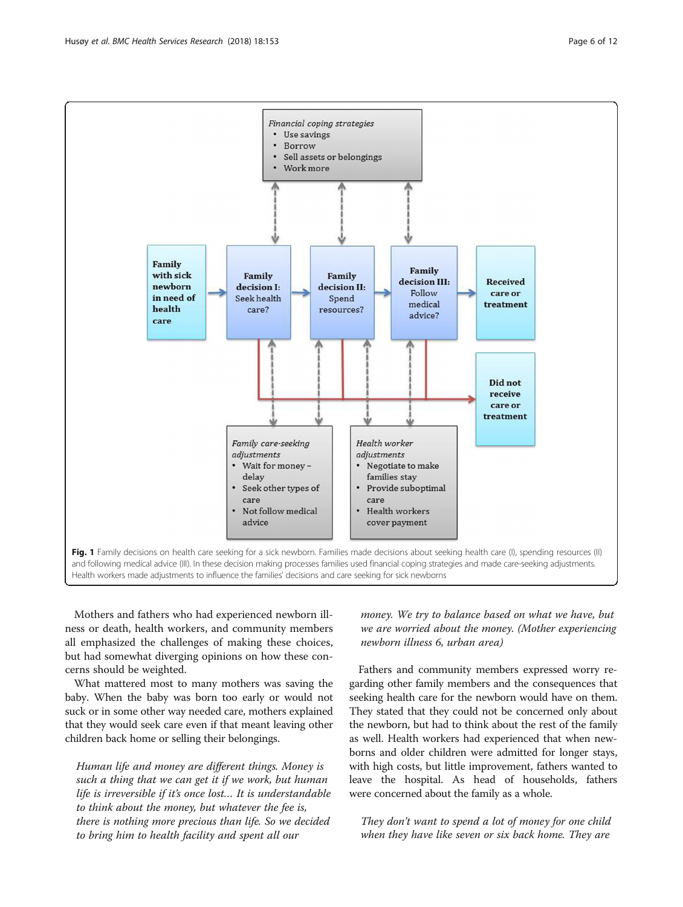<span id="page-5-0"></span>

Mothers and fathers who had experienced newborn illness or death, health workers, and community members all emphasized the challenges of making these choices, but had somewhat diverging opinions on how these concerns should be weighted.

What mattered most to many mothers was saving the baby. When the baby was born too early or would not suck or in some other way needed care, mothers explained that they would seek care even if that meant leaving other children back home or selling their belongings.

Human life and money are different things. Money is such a thing that we can get it if we work, but human life is irreversible if it's once lost… It is understandable to think about the money, but whatever the fee is, there is nothing more precious than life. So we decided to bring him to health facility and spent all our

money. We try to balance based on what we have, but we are worried about the money. (Mother experiencing newborn illness 6, urban area)

Fathers and community members expressed worry regarding other family members and the consequences that seeking health care for the newborn would have on them. They stated that they could not be concerned only about the newborn, but had to think about the rest of the family as well. Health workers had experienced that when newborns and older children were admitted for longer stays, with high costs, but little improvement, fathers wanted to leave the hospital. As head of households, fathers were concerned about the family as a whole.

They don't want to spend a lot of money for one child when they have like seven or six back home. They are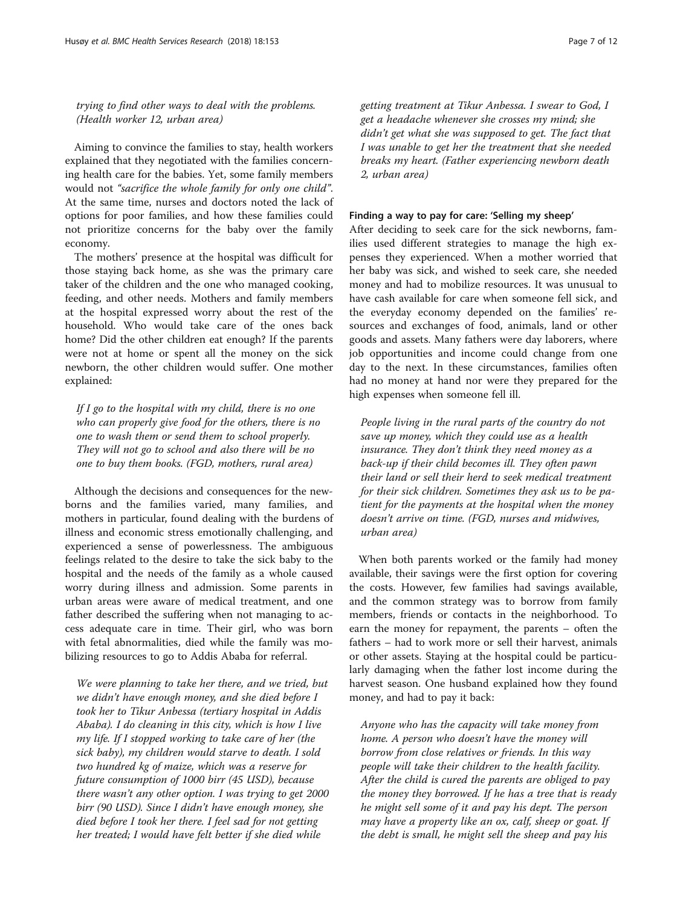trying to find other ways to deal with the problems. (Health worker 12, urban area)

Aiming to convince the families to stay, health workers explained that they negotiated with the families concerning health care for the babies. Yet, some family members would not "sacrifice the whole family for only one child". At the same time, nurses and doctors noted the lack of options for poor families, and how these families could not prioritize concerns for the baby over the family economy.

The mothers' presence at the hospital was difficult for those staying back home, as she was the primary care taker of the children and the one who managed cooking, feeding, and other needs. Mothers and family members at the hospital expressed worry about the rest of the household. Who would take care of the ones back home? Did the other children eat enough? If the parents were not at home or spent all the money on the sick newborn, the other children would suffer. One mother explained:

If I go to the hospital with my child, there is no one who can properly give food for the others, there is no one to wash them or send them to school properly. They will not go to school and also there will be no one to buy them books. (FGD, mothers, rural area)

Although the decisions and consequences for the newborns and the families varied, many families, and mothers in particular, found dealing with the burdens of illness and economic stress emotionally challenging, and experienced a sense of powerlessness. The ambiguous feelings related to the desire to take the sick baby to the hospital and the needs of the family as a whole caused worry during illness and admission. Some parents in urban areas were aware of medical treatment, and one father described the suffering when not managing to access adequate care in time. Their girl, who was born with fetal abnormalities, died while the family was mobilizing resources to go to Addis Ababa for referral.

We were planning to take her there, and we tried, but we didn't have enough money, and she died before I took her to Tikur Anbessa (tertiary hospital in Addis Ababa). I do cleaning in this city, which is how I live my life. If I stopped working to take care of her (the sick baby), my children would starve to death. I sold two hundred kg of maize, which was a reserve for future consumption of 1000 birr (45 USD), because there wasn't any other option. I was trying to get 2000 birr (90 USD). Since I didn't have enough money, she died before I took her there. I feel sad for not getting her treated; I would have felt better if she died while

getting treatment at Tikur Anbessa. I swear to God, I get a headache whenever she crosses my mind; she didn't get what she was supposed to get. The fact that I was unable to get her the treatment that she needed breaks my heart. (Father experiencing newborn death 2, urban area)

#### Finding a way to pay for care: 'Selling my sheep'

After deciding to seek care for the sick newborns, families used different strategies to manage the high expenses they experienced. When a mother worried that her baby was sick, and wished to seek care, she needed money and had to mobilize resources. It was unusual to have cash available for care when someone fell sick, and the everyday economy depended on the families' resources and exchanges of food, animals, land or other goods and assets. Many fathers were day laborers, where job opportunities and income could change from one day to the next. In these circumstances, families often had no money at hand nor were they prepared for the high expenses when someone fell ill.

People living in the rural parts of the country do not save up money, which they could use as a health insurance. They don't think they need money as a back-up if their child becomes ill. They often pawn their land or sell their herd to seek medical treatment for their sick children. Sometimes they ask us to be patient for the payments at the hospital when the money doesn't arrive on time. (FGD, nurses and midwives, urban area)

When both parents worked or the family had money available, their savings were the first option for covering the costs. However, few families had savings available, and the common strategy was to borrow from family members, friends or contacts in the neighborhood. To earn the money for repayment, the parents – often the fathers – had to work more or sell their harvest, animals or other assets. Staying at the hospital could be particularly damaging when the father lost income during the harvest season. One husband explained how they found money, and had to pay it back:

Anyone who has the capacity will take money from home. A person who doesn't have the money will borrow from close relatives or friends. In this way people will take their children to the health facility. After the child is cured the parents are obliged to pay the money they borrowed. If he has a tree that is ready he might sell some of it and pay his dept. The person may have a property like an ox, calf, sheep or goat. If the debt is small, he might sell the sheep and pay his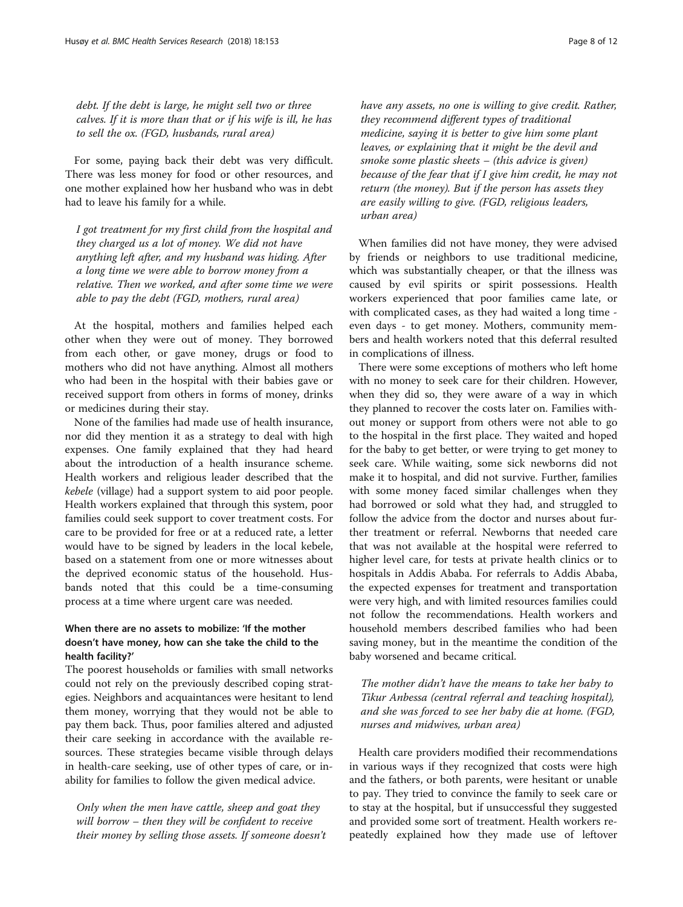debt. If the debt is large, he might sell two or three calves. If it is more than that or if his wife is ill, he has to sell the ox. (FGD, husbands, rural area)

For some, paying back their debt was very difficult. There was less money for food or other resources, and one mother explained how her husband who was in debt had to leave his family for a while.

I got treatment for my first child from the hospital and they charged us a lot of money. We did not have anything left after, and my husband was hiding. After a long time we were able to borrow money from a relative. Then we worked, and after some time we were able to pay the debt (FGD, mothers, rural area)

At the hospital, mothers and families helped each other when they were out of money. They borrowed from each other, or gave money, drugs or food to mothers who did not have anything. Almost all mothers who had been in the hospital with their babies gave or received support from others in forms of money, drinks or medicines during their stay.

None of the families had made use of health insurance, nor did they mention it as a strategy to deal with high expenses. One family explained that they had heard about the introduction of a health insurance scheme. Health workers and religious leader described that the kebele (village) had a support system to aid poor people. Health workers explained that through this system, poor families could seek support to cover treatment costs. For care to be provided for free or at a reduced rate, a letter would have to be signed by leaders in the local kebele, based on a statement from one or more witnesses about the deprived economic status of the household. Husbands noted that this could be a time-consuming process at a time where urgent care was needed.

## When there are no assets to mobilize: 'If the mother doesn't have money, how can she take the child to the health facility?'

The poorest households or families with small networks could not rely on the previously described coping strategies. Neighbors and acquaintances were hesitant to lend them money, worrying that they would not be able to pay them back. Thus, poor families altered and adjusted their care seeking in accordance with the available resources. These strategies became visible through delays in health-care seeking, use of other types of care, or inability for families to follow the given medical advice.

Only when the men have cattle, sheep and goat they will borrow – then they will be confident to receive their money by selling those assets. If someone doesn't have any assets, no one is willing to give credit. Rather, they recommend different types of traditional medicine, saying it is better to give him some plant leaves, or explaining that it might be the devil and smoke some plastic sheets – (this advice is given) because of the fear that if I give him credit, he may not return (the money). But if the person has assets they are easily willing to give. (FGD, religious leaders, urban area)

When families did not have money, they were advised by friends or neighbors to use traditional medicine, which was substantially cheaper, or that the illness was caused by evil spirits or spirit possessions. Health workers experienced that poor families came late, or with complicated cases, as they had waited a long time even days - to get money. Mothers, community members and health workers noted that this deferral resulted in complications of illness.

There were some exceptions of mothers who left home with no money to seek care for their children. However, when they did so, they were aware of a way in which they planned to recover the costs later on. Families without money or support from others were not able to go to the hospital in the first place. They waited and hoped for the baby to get better, or were trying to get money to seek care. While waiting, some sick newborns did not make it to hospital, and did not survive. Further, families with some money faced similar challenges when they had borrowed or sold what they had, and struggled to follow the advice from the doctor and nurses about further treatment or referral. Newborns that needed care that was not available at the hospital were referred to higher level care, for tests at private health clinics or to hospitals in Addis Ababa. For referrals to Addis Ababa, the expected expenses for treatment and transportation were very high, and with limited resources families could not follow the recommendations. Health workers and household members described families who had been saving money, but in the meantime the condition of the baby worsened and became critical.

The mother didn't have the means to take her baby to Tikur Anbessa (central referral and teaching hospital), and she was forced to see her baby die at home. (FGD, nurses and midwives, urban area)

Health care providers modified their recommendations in various ways if they recognized that costs were high and the fathers, or both parents, were hesitant or unable to pay. They tried to convince the family to seek care or to stay at the hospital, but if unsuccessful they suggested and provided some sort of treatment. Health workers repeatedly explained how they made use of leftover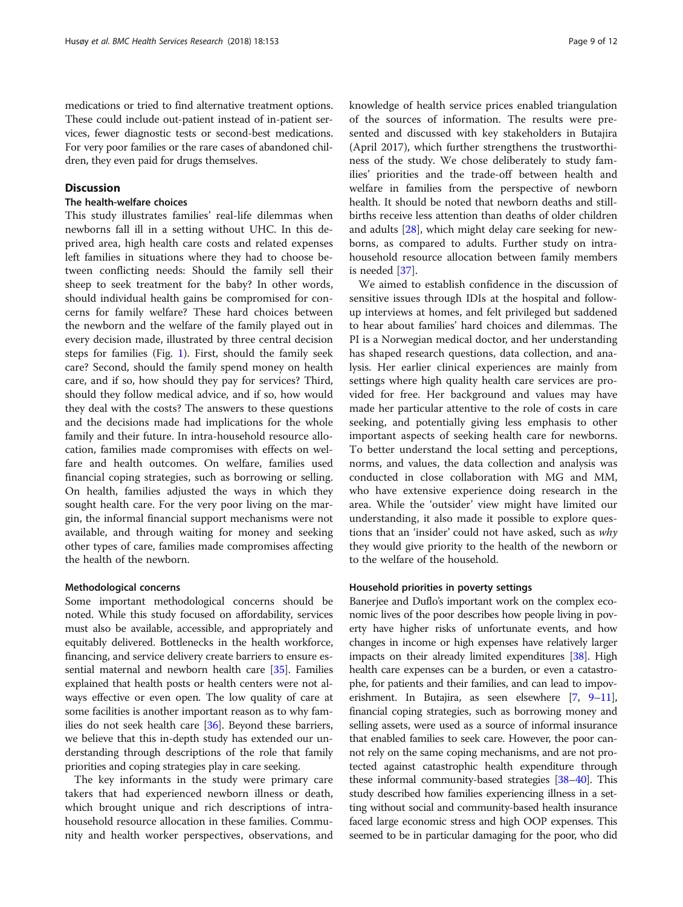medications or tried to find alternative treatment options. These could include out-patient instead of in-patient services, fewer diagnostic tests or second-best medications. For very poor families or the rare cases of abandoned children, they even paid for drugs themselves.

## Discussion

#### The health-welfare choices

This study illustrates families' real-life dilemmas when newborns fall ill in a setting without UHC. In this deprived area, high health care costs and related expenses left families in situations where they had to choose between conflicting needs: Should the family sell their sheep to seek treatment for the baby? In other words, should individual health gains be compromised for concerns for family welfare? These hard choices between the newborn and the welfare of the family played out in every decision made, illustrated by three central decision steps for families (Fig. [1](#page-5-0)). First, should the family seek care? Second, should the family spend money on health care, and if so, how should they pay for services? Third, should they follow medical advice, and if so, how would they deal with the costs? The answers to these questions and the decisions made had implications for the whole family and their future. In intra-household resource allocation, families made compromises with effects on welfare and health outcomes. On welfare, families used financial coping strategies, such as borrowing or selling. On health, families adjusted the ways in which they sought health care. For the very poor living on the margin, the informal financial support mechanisms were not available, and through waiting for money and seeking other types of care, families made compromises affecting the health of the newborn.

## Methodological concerns

Some important methodological concerns should be noted. While this study focused on affordability, services must also be available, accessible, and appropriately and equitably delivered. Bottlenecks in the health workforce, financing, and service delivery create barriers to ensure essential maternal and newborn health care [[35](#page-11-0)]. Families explained that health posts or health centers were not always effective or even open. The low quality of care at some facilities is another important reason as to why families do not seek health care [[36](#page-11-0)]. Beyond these barriers, we believe that this in-depth study has extended our understanding through descriptions of the role that family priorities and coping strategies play in care seeking.

The key informants in the study were primary care takers that had experienced newborn illness or death, which brought unique and rich descriptions of intrahousehold resource allocation in these families. Community and health worker perspectives, observations, and knowledge of health service prices enabled triangulation of the sources of information. The results were presented and discussed with key stakeholders in Butajira (April 2017), which further strengthens the trustworthiness of the study. We chose deliberately to study families' priorities and the trade-off between health and welfare in families from the perspective of newborn health. It should be noted that newborn deaths and stillbirths receive less attention than deaths of older children and adults [[28](#page-11-0)], which might delay care seeking for newborns, as compared to adults. Further study on intrahousehold resource allocation between family members is needed [\[37\]](#page-11-0).

We aimed to establish confidence in the discussion of sensitive issues through IDIs at the hospital and followup interviews at homes, and felt privileged but saddened to hear about families' hard choices and dilemmas. The PI is a Norwegian medical doctor, and her understanding has shaped research questions, data collection, and analysis. Her earlier clinical experiences are mainly from settings where high quality health care services are provided for free. Her background and values may have made her particular attentive to the role of costs in care seeking, and potentially giving less emphasis to other important aspects of seeking health care for newborns. To better understand the local setting and perceptions, norms, and values, the data collection and analysis was conducted in close collaboration with MG and MM, who have extensive experience doing research in the area. While the 'outsider' view might have limited our understanding, it also made it possible to explore questions that an 'insider' could not have asked, such as why they would give priority to the health of the newborn or to the welfare of the household.

#### Household priorities in poverty settings

Banerjee and Duflo's important work on the complex economic lives of the poor describes how people living in poverty have higher risks of unfortunate events, and how changes in income or high expenses have relatively larger impacts on their already limited expenditures [[38](#page-11-0)]. High health care expenses can be a burden, or even a catastrophe, for patients and their families, and can lead to impoverishment. In Butajira, as seen elsewhere [\[7,](#page-10-0) [9](#page-10-0)–[11](#page-10-0)], financial coping strategies, such as borrowing money and selling assets, were used as a source of informal insurance that enabled families to seek care. However, the poor cannot rely on the same coping mechanisms, and are not protected against catastrophic health expenditure through these informal community-based strategies [[38](#page-11-0)–[40\]](#page-11-0). This study described how families experiencing illness in a setting without social and community-based health insurance faced large economic stress and high OOP expenses. This seemed to be in particular damaging for the poor, who did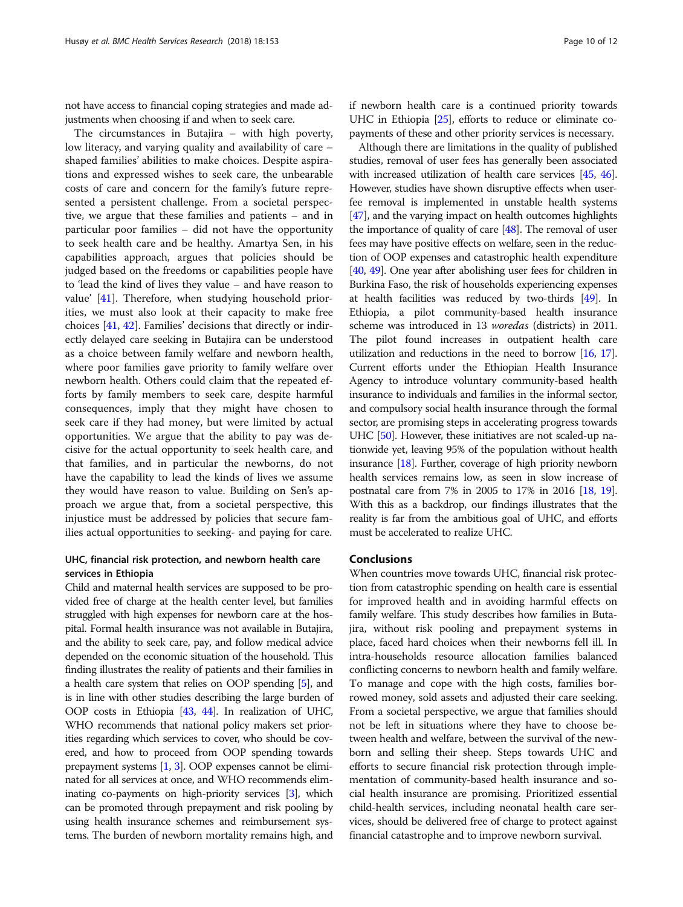not have access to financial coping strategies and made adjustments when choosing if and when to seek care.

The circumstances in Butajira – with high poverty, low literacy, and varying quality and availability of care – shaped families' abilities to make choices. Despite aspirations and expressed wishes to seek care, the unbearable costs of care and concern for the family's future represented a persistent challenge. From a societal perspective, we argue that these families and patients – and in particular poor families – did not have the opportunity to seek health care and be healthy. Amartya Sen, in his capabilities approach, argues that policies should be judged based on the freedoms or capabilities people have to 'lead the kind of lives they value – and have reason to value' [[41](#page-11-0)]. Therefore, when studying household priorities, we must also look at their capacity to make free choices [[41,](#page-11-0) [42](#page-11-0)]. Families' decisions that directly or indirectly delayed care seeking in Butajira can be understood as a choice between family welfare and newborn health, where poor families gave priority to family welfare over newborn health. Others could claim that the repeated efforts by family members to seek care, despite harmful consequences, imply that they might have chosen to seek care if they had money, but were limited by actual opportunities. We argue that the ability to pay was decisive for the actual opportunity to seek health care, and that families, and in particular the newborns, do not have the capability to lead the kinds of lives we assume they would have reason to value. Building on Sen's approach we argue that, from a societal perspective, this injustice must be addressed by policies that secure families actual opportunities to seeking- and paying for care.

## UHC, financial risk protection, and newborn health care services in Ethiopia

Child and maternal health services are supposed to be provided free of charge at the health center level, but families struggled with high expenses for newborn care at the hospital. Formal health insurance was not available in Butajira, and the ability to seek care, pay, and follow medical advice depended on the economic situation of the household. This finding illustrates the reality of patients and their families in a health care system that relies on OOP spending [[5](#page-10-0)], and is in line with other studies describing the large burden of OOP costs in Ethiopia [[43](#page-11-0), [44](#page-11-0)]. In realization of UHC, WHO recommends that national policy makers set priorities regarding which services to cover, who should be covered, and how to proceed from OOP spending towards prepayment systems [[1](#page-10-0), [3\]](#page-10-0). OOP expenses cannot be eliminated for all services at once, and WHO recommends eliminating co-payments on high-priority services [\[3\]](#page-10-0), which can be promoted through prepayment and risk pooling by using health insurance schemes and reimbursement systems. The burden of newborn mortality remains high, and

Although there are limitations in the quality of published studies, removal of user fees has generally been associated with increased utilization of health care services [\[45,](#page-11-0) [46](#page-11-0)]. However, studies have shown disruptive effects when userfee removal is implemented in unstable health systems [[47](#page-11-0)], and the varying impact on health outcomes highlights the importance of quality of care [[48](#page-11-0)]. The removal of user fees may have positive effects on welfare, seen in the reduction of OOP expenses and catastrophic health expenditure [[40](#page-11-0), [49\]](#page-11-0). One year after abolishing user fees for children in Burkina Faso, the risk of households experiencing expenses at health facilities was reduced by two-thirds [\[49](#page-11-0)]. In Ethiopia, a pilot community-based health insurance scheme was introduced in 13 woredas (districts) in 2011. The pilot found increases in outpatient health care utilization and reductions in the need to borrow [[16](#page-10-0), [17](#page-10-0)]. Current efforts under the Ethiopian Health Insurance Agency to introduce voluntary community-based health insurance to individuals and families in the informal sector, and compulsory social health insurance through the formal sector, are promising steps in accelerating progress towards UHC [[50](#page-11-0)]. However, these initiatives are not scaled-up nationwide yet, leaving 95% of the population without health insurance [\[18\]](#page-10-0). Further, coverage of high priority newborn health services remains low, as seen in slow increase of postnatal care from 7% in 2005 to 17% in 2016 [\[18,](#page-10-0) [19](#page-10-0)]. With this as a backdrop, our findings illustrates that the reality is far from the ambitious goal of UHC, and efforts must be accelerated to realize UHC.

## Conclusions

When countries move towards UHC, financial risk protection from catastrophic spending on health care is essential for improved health and in avoiding harmful effects on family welfare. This study describes how families in Butajira, without risk pooling and prepayment systems in place, faced hard choices when their newborns fell ill. In intra-households resource allocation families balanced conflicting concerns to newborn health and family welfare. To manage and cope with the high costs, families borrowed money, sold assets and adjusted their care seeking. From a societal perspective, we argue that families should not be left in situations where they have to choose between health and welfare, between the survival of the newborn and selling their sheep. Steps towards UHC and efforts to secure financial risk protection through implementation of community-based health insurance and social health insurance are promising. Prioritized essential child-health services, including neonatal health care services, should be delivered free of charge to protect against financial catastrophe and to improve newborn survival.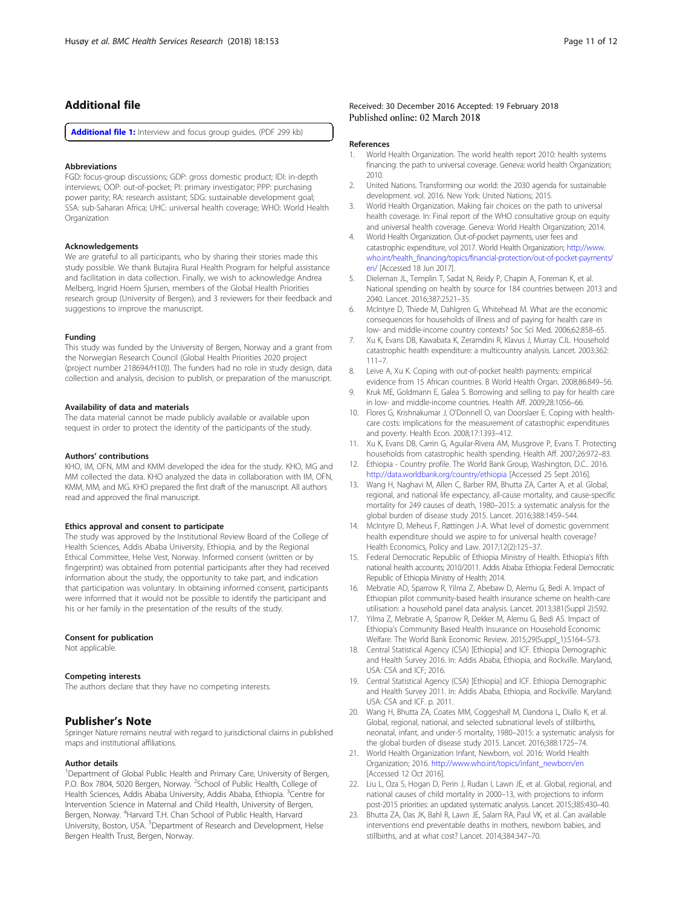## <span id="page-10-0"></span>Additional file

[Additional file 1:](https://doi.org/10.1186/s12913-018-2943-y) Interview and focus group guides. (PDF 299 kb)

#### Abbreviations

FGD: focus-group discussions; GDP: gross domestic product; IDI: in-depth interviews; OOP: out-of-pocket; PI: primary investigator; PPP: purchasing power parity; RA: research assistant; SDG: sustainable development goal; SSA: sub-Saharan Africa; UHC: universal health coverage; WHO: World Health Organization

#### Acknowledgements

We are grateful to all participants, who by sharing their stories made this study possible. We thank Butajira Rural Health Program for helpful assistance and facilitation in data collection. Finally, we wish to acknowledge Andrea Melberg, Ingrid Hoem Sjursen, members of the Global Health Priorities research group (University of Bergen), and 3 reviewers for their feedback and suggestions to improve the manuscript.

#### Funding

This study was funded by the University of Bergen, Norway and a grant from the Norwegian Research Council (Global Health Priorities 2020 project (project number 218694/H10)). The funders had no role in study design, data collection and analysis, decision to publish, or preparation of the manuscript.

#### Availability of data and materials

The data material cannot be made publicly available or available upon request in order to protect the identity of the participants of the study.

#### Authors' contributions

KHO, IM, OFN, MM and KMM developed the idea for the study. KHO, MG and MM collected the data. KHO analyzed the data in collaboration with IM, OFN, KMM, MM, and MG. KHO prepared the first draft of the manuscript. All authors read and approved the final manuscript.

#### Ethics approval and consent to participate

The study was approved by the Institutional Review Board of the College of Health Sciences, Addis Ababa University, Ethiopia, and by the Regional Ethical Committee, Helse Vest, Norway. Informed consent (written or by fingerprint) was obtained from potential participants after they had received information about the study, the opportunity to take part, and indication that participation was voluntary. In obtaining informed consent, participants were informed that it would not be possible to identify the participant and his or her family in the presentation of the results of the study.

#### Consent for publication

Not applicable.

#### Competing interests

The authors declare that they have no competing interests.

#### Publisher's Note

Springer Nature remains neutral with regard to jurisdictional claims in published maps and institutional affiliations.

#### Author details

<sup>1</sup>Department of Global Public Health and Primary Care, University of Bergen, P.O. Box 7804, 5020 Bergen, Norway. <sup>2</sup>School of Public Health, College of Health Sciences, Addis Ababa University, Addis Ababa, Ethiopia. <sup>3</sup>Centre for Intervention Science in Maternal and Child Health, University of Bergen, Bergen, Norway. <sup>4</sup>Harvard T.H. Chan School of Public Health, Harvard University, Boston, USA. <sup>5</sup>Department of Research and Development, Helse Bergen Health Trust, Bergen, Norway.

#### Received: 30 December 2016 Accepted: 19 February 2018 Published online: 02 March 2018

#### References

- 1. World Health Organization. The world health report 2010: health systems financing: the path to universal coverage. Geneva: world health Organization; 2010.
- 2. United Nations. Transforming our world: the 2030 agenda for sustainable development. vol. 2016. New York: United Nations; 2015.
- 3. World Health Organization. Making fair choices on the path to universal health coverage. In: Final report of the WHO consultative group on equity and universal health coverage. Geneva: World Health Organization; 2014.
- 4. World Health Organization. Out-of-pocket payments, user fees and catastrophic expenditure, vol 2017. World Health Organization; [http://www.](http://www.who.int/health_financing/topics/financial-protection/out-of-pocket-payments/en/) [who.int/health\\_financing/topics/financial-protection/out-of-pocket-payments/](http://www.who.int/health_financing/topics/financial-protection/out-of-pocket-payments/en/) [en/](http://www.who.int/health_financing/topics/financial-protection/out-of-pocket-payments/en/) [Accessed 18 Jun 2017].
- 5. Dieleman JL, Templin T, Sadat N, Reidy P, Chapin A, Foreman K, et al. National spending on health by source for 184 countries between 2013 and 2040. Lancet. 2016;387:2521–35.
- 6. McIntyre D, Thiede M, Dahlgren G, Whitehead M. What are the economic consequences for households of illness and of paying for health care in low- and middle-income country contexts? Soc Sci Med. 2006;62:858–65.
- 7. Xu K, Evans DB, Kawabata K, Zeramdini R, Klavus J, Murray CJL. Household catastrophic health expenditure: a multicountry analysis. Lancet. 2003;362: 111–7.
- 8. Leive A, Xu K. Coping with out-of-pocket health payments: empirical evidence from 15 African countries. B World Health Organ. 2008;86:849–56.
- Kruk ME, Goldmann E, Galea S. Borrowing and selling to pay for health care in low- and middle-income countries. Health Aff. 2009;28:1056–66.
- 10. Flores G, Krishnakumar J, O'Donnell O, van Doorslaer E. Coping with healthcare costs: implications for the measurement of catastrophic expenditures and poverty. Health Econ. 2008;17:1393–412.
- 11. Xu K, Evans DB, Carrin G, Aguilar-Rivera AM, Musgrove P, Evans T. Protecting households from catastrophic health spending. Health Aff. 2007;26:972–83.
- 12. Ethiopia Country profile. The World Bank Group, Washington, D.C.. 2016. <http://data.worldbank.org/country/ethiopia> [Accessed 25 Sept 2016].
- 13. Wang H, Naghavi M, Allen C, Barber RM, Bhutta ZA, Carter A, et al. Global, regional, and national life expectancy, all-cause mortality, and cause-specific mortality for 249 causes of death, 1980–2015: a systematic analysis for the global burden of disease study 2015. Lancet. 2016;388:1459–544.
- 14. McIntyre D, Meheus F, Røttingen J-A. What level of domestic government health expenditure should we aspire to for universal health coverage? Health Economics, Policy and Law. 2017;12(2):125–37.
- 15. Federal Democratic Republic of Ethiopia Ministry of Health. Ethiopia's fifth national health accounts; 2010/2011. Addis Ababa: Ethiopia: Federal Democratic Republic of Ethiopia Ministry of Health; 2014.
- 16. Mebratie AD, Sparrow R, Yilma Z, Abebaw D, Alemu G, Bedi A. Impact of Ethiopian pilot community-based health insurance scheme on health-care utilisation: a household panel data analysis. Lancet. 2013;381(Suppl 2):S92.
- 17. Yilma Z, Mebratie A, Sparrow R, Dekker M, Alemu G, Bedi AS. Impact of Ethiopia's Community Based Health Insurance on Household Economic Welfare. The World Bank Economic Review. 2015;29(Suppl\_1):S164–S73.
- 18. Central Statistical Agency (CSA) [Ethiopia] and ICF. Ethiopia Demographic and Health Survey 2016. In: Addis Ababa, Ethiopia, and Rockville. Maryland, USA: CSA and ICF; 2016.
- 19. Central Statistical Agency (CSA) [Ethiopia] and ICF. Ethiopia Demographic and Health Survey 2011. In: Addis Ababa, Ethiopia, and Rockville. Maryland: USA: CSA and ICF. p. 2011.
- 20. Wang H, Bhutta ZA, Coates MM, Coggeshall M, Dandona L, Diallo K, et al. Global, regional, national, and selected subnational levels of stillbirths, neonatal, infant, and under-5 mortality, 1980–2015: a systematic analysis for the global burden of disease study 2015. Lancet. 2016;388:1725–74.
- 21. World Health Organization Infant, Newborn, vol. 2016: World Health Organization; 2016. [http://www.who.int/topics/infant\\_newborn/en](http://www.who.int/topics/infant_newborn/en) [Accessed 12 Oct 2016].
- 22. Liu L, Oza S, Hogan D, Perin J, Rudan I, Lawn JE, et al. Global, regional, and national causes of child mortality in 2000–13, with projections to inform post-2015 priorities: an updated systematic analysis. Lancet. 2015;385:430–40.
- 23. Bhutta ZA, Das JK, Bahl R, Lawn JE, Salam RA, Paul VK, et al. Can available interventions end preventable deaths in mothers, newborn babies, and stillbirths, and at what cost? Lancet. 2014;384:347–70.